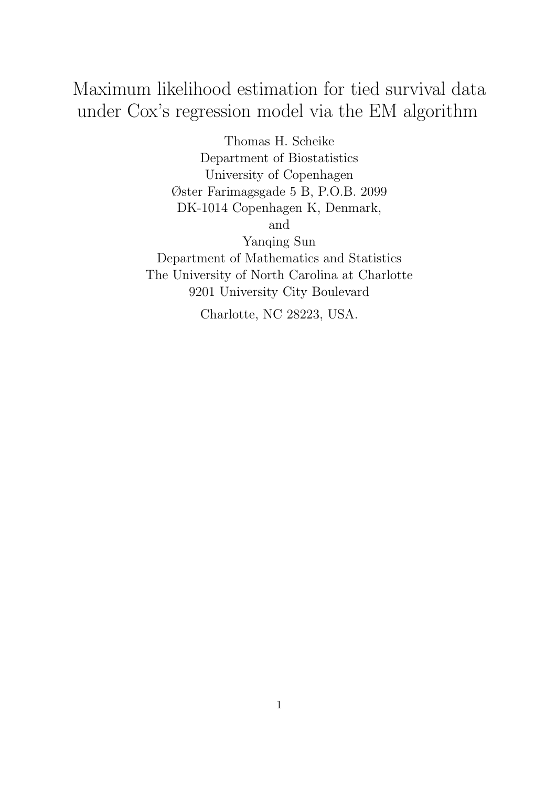# Maximum likelihood estimation for tied survival data under Cox's regression model via the EM algorithm

Thomas H. Scheike Department of Biostatistics University of Copenhagen Øster Farimagsgade 5 B, P.O.B. 2099 DK-1014 Copenhagen K, Denmark, and Yanqing Sun Department of Mathematics and Statistics The University of North Carolina at Charlotte 9201 University City Boulevard

Charlotte, NC 28223, USA.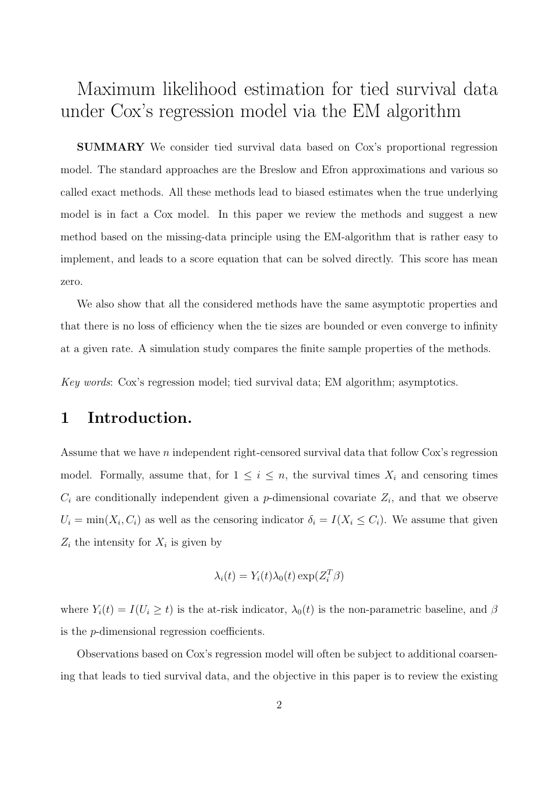# Maximum likelihood estimation for tied survival data under Cox's regression model via the EM algorithm

SUMMARY We consider tied survival data based on Cox's proportional regression model. The standard approaches are the Breslow and Efron approximations and various so called exact methods. All these methods lead to biased estimates when the true underlying model is in fact a Cox model. In this paper we review the methods and suggest a new method based on the missing-data principle using the EM-algorithm that is rather easy to implement, and leads to a score equation that can be solved directly. This score has mean zero.

We also show that all the considered methods have the same asymptotic properties and that there is no loss of efficiency when the tie sizes are bounded or even converge to infinity at a given rate. A simulation study compares the finite sample properties of the methods.

Key words: Cox's regression model; tied survival data; EM algorithm; asymptotics.

### 1 Introduction.

Assume that we have n independent right-censored survival data that follow Cox's regression model. Formally, assume that, for  $1 \leq i \leq n$ , the survival times  $X_i$  and censoring times  $C_i$  are conditionally independent given a *p*-dimensional covariate  $Z_i$ , and that we observe  $U_i = \min(X_i, C_i)$  as well as the censoring indicator  $\delta_i = I(X_i \leq C_i)$ . We assume that given  $Z_i$  the intensity for  $X_i$  is given by

$$
\lambda_i(t) = Y_i(t)\lambda_0(t) \exp(Z_i^T \beta)
$$

where  $Y_i(t) = I(U_i \ge t)$  is the at-risk indicator,  $\lambda_0(t)$  is the non-parametric baseline, and  $\beta$ is the p-dimensional regression coefficients.

Observations based on Cox's regression model will often be subject to additional coarsening that leads to tied survival data, and the objective in this paper is to review the existing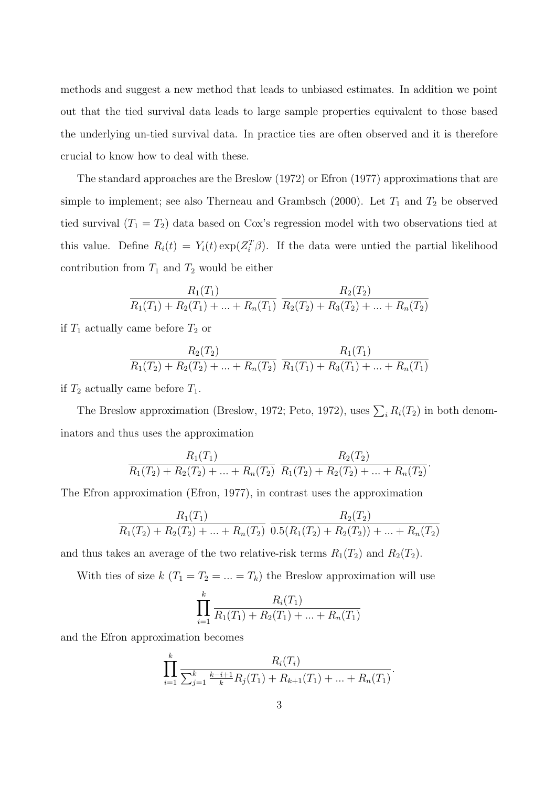methods and suggest a new method that leads to unbiased estimates. In addition we point out that the tied survival data leads to large sample properties equivalent to those based the underlying un-tied survival data. In practice ties are often observed and it is therefore crucial to know how to deal with these.

The standard approaches are the Breslow (1972) or Efron (1977) approximations that are simple to implement; see also Therneau and Grambsch (2000). Let  $T_1$  and  $T_2$  be observed tied survival  $(T_1 = T_2)$  data based on Cox's regression model with two observations tied at this value. Define  $R_i(t) = Y_i(t) \exp(Z_i^T \beta)$ . If the data were untied the partial likelihood contribution from  $T_1$  and  $T_2$  would be either

$$
\frac{R_1(T_1)}{R_1(T_1) + R_2(T_1) + \ldots + R_n(T_1)} \frac{R_2(T_2)}{R_2(T_2) + R_3(T_2) + \ldots + R_n(T_2)}
$$

if  $T_1$  actually came before  $T_2$  or

$$
\frac{R_2(T_2)}{R_1(T_2) + R_2(T_2) + \ldots + R_n(T_2)} \frac{R_1(T_1)}{R_1(T_1) + R_3(T_1) + \ldots + R_n(T_1)}
$$

if  $T_2$  actually came before  $T_1$ .

The Breslow approximation (Breslow, 1972; Peto, 1972), uses  $\sum_i R_i(T_2)$  in both denominators and thus uses the approximation

$$
\frac{R_1(T_1)}{R_1(T_2) + R_2(T_2) + \ldots + R_n(T_2)} \frac{R_2(T_2)}{R_1(T_2) + R_2(T_2) + \ldots + R_n(T_2)}.
$$

The Efron approximation (Efron, 1977), in contrast uses the approximation

$$
\frac{R_1(T_1)}{R_1(T_2) + R_2(T_2) + \ldots + R_n(T_2)} \frac{R_2(T_2)}{0.5(R_1(T_2) + R_2(T_2)) + \ldots + R_n(T_2)}
$$

and thus takes an average of the two relative-risk terms  $R_1(T_2)$  and  $R_2(T_2)$ .

With ties of size k  $(T_1 = T_2 = ... = T_k)$  the Breslow approximation will use

$$
\prod_{i=1}^{k} \frac{R_i(T_1)}{R_1(T_1) + R_2(T_1) + \dots + R_n(T_1)}
$$

and the Efron approximation becomes

$$
\prod_{i=1}^k \frac{R_i(T_i)}{\sum_{j=1}^k \frac{k-i+1}{k}R_j(T_1)+R_{k+1}(T_1)+\ldots+R_n(T_1)}.
$$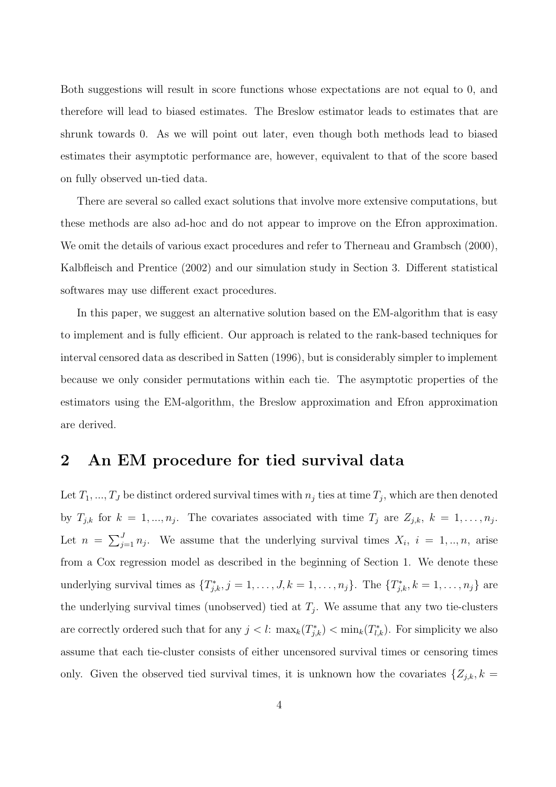Both suggestions will result in score functions whose expectations are not equal to 0, and therefore will lead to biased estimates. The Breslow estimator leads to estimates that are shrunk towards 0. As we will point out later, even though both methods lead to biased estimates their asymptotic performance are, however, equivalent to that of the score based on fully observed un-tied data.

There are several so called exact solutions that involve more extensive computations, but these methods are also ad-hoc and do not appear to improve on the Efron approximation. We omit the details of various exact procedures and refer to Therneau and Grambsch (2000), Kalbfleisch and Prentice (2002) and our simulation study in Section 3. Different statistical softwares may use different exact procedures.

In this paper, we suggest an alternative solution based on the EM-algorithm that is easy to implement and is fully efficient. Our approach is related to the rank-based techniques for interval censored data as described in Satten (1996), but is considerably simpler to implement because we only consider permutations within each tie. The asymptotic properties of the estimators using the EM-algorithm, the Breslow approximation and Efron approximation are derived.

#### 2 An EM procedure for tied survival data

Let  $T_1, ..., T_J$  be distinct ordered survival times with  $n_j$  ties at time  $T_j$ , which are then denoted by  $T_{j,k}$  for  $k = 1, ..., n_j$ . The covariates associated with time  $T_j$  are  $Z_{j,k}$ ,  $k = 1, ..., n_j$ . Let  $n = \sum_{i=1}^{J}$  $j_{i=1}^J n_j$ . We assume that the underlying survival times  $X_i$ ,  $i = 1, ..., n$ , arise from a Cox regression model as described in the beginning of Section 1. We denote these underlying survival times as  $\{T_{j,k}^*, j=1,\ldots,J, k=1,\ldots,n_j\}$ . The  $\{T_{j,k}^*, k=1,\ldots,n_j\}$  are the underlying survival times (unobserved) tied at  $T_j$ . We assume that any two tie-clusters are correctly ordered such that for any  $j < l$ :  $\max_k(T^*_{j,k}) < \min_k(T^*_{l,k})$ . For simplicity we also assume that each tie-cluster consists of either uncensored survival times or censoring times only. Given the observed tied survival times, it is unknown how the covariates  $\{Z_{j,k}, k =$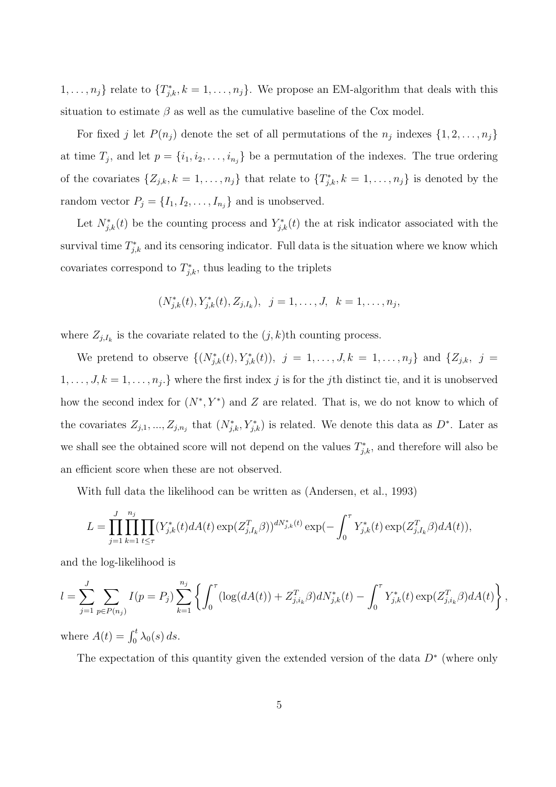$\{1, \ldots, n_j\}$  relate to  $\{T_{j,k}^*, k=1, \ldots, n_j\}$ . We propose an EM-algorithm that deals with this situation to estimate  $\beta$  as well as the cumulative baseline of the Cox model.

For fixed j let  $P(n_j)$  denote the set of all permutations of the  $n_j$  indexes  $\{1, 2, \ldots, n_j\}$ at time  $T_j$ , and let  $p = \{i_1, i_2, \ldots, i_{n_j}\}$  be a permutation of the indexes. The true ordering of the covariates  $\{Z_{j,k}, k = 1, \ldots, n_j\}$  that relate to  $\{T_{j,k}^*, k = 1, \ldots, n_j\}$  is denoted by the random vector  $P_j = \{I_1, I_2, \ldots, I_{n_j}\}\$ and is unobserved.

Let  $N_{j,k}^*(t)$  be the counting process and  $Y_{j,k}^*(t)$  the at risk indicator associated with the survival time  $T_{j,k}^*$  and its censoring indicator. Full data is the situation where we know which covariates correspond to  $T^*_{j,k}$ , thus leading to the triplets

$$
(N_{j,k}^*(t), Y_{j,k}^*(t), Z_{j,I_k}), \ \ j=1,\ldots,J, \ \ k=1,\ldots,n_j,
$$

where  $Z_{j,I_k}$  is the covariate related to the  $(j,k)$ <sup>th</sup> counting process.

We pretend to observe  $\{(N_{j,k}^*(t), Y_{j,k}^*(t)), j = 1, ..., J, k = 1, ..., n_j\}$  and  $\{Z_{j,k}, j = 1, ..., N\}$  $1, \ldots, J, k = 1, \ldots, n_j$ . Where the first index j is for the j<sup>th</sup> distinct tie, and it is unobserved how the second index for  $(N^*, Y^*)$  and Z are related. That is, we do not know to which of the covariates  $Z_{j,1},..., Z_{j,n_j}$  that  $(N^*_{j,k}, Y^*_{j,k})$  is related. We denote this data as  $D^*$ . Later as we shall see the obtained score will not depend on the values  $T_{j,k}^*$ , and therefore will also be an efficient score when these are not observed.

With full data the likelihood can be written as (Andersen, et al., 1993)

$$
L = \prod_{j=1}^{J} \prod_{k=1}^{n_j} \prod_{t \le \tau} (Y_{j,k}^*(t) dA(t) \exp(Z_{j,I_k}^T \beta))^{dN_{j,k}^*(t)} \exp(-\int_0^{\tau} Y_{j,k}^*(t) \exp(Z_{j,I_k}^T \beta) dA(t)),
$$

and the log-likelihood is

$$
l = \sum_{j=1}^{J} \sum_{p \in P(n_j)} I(p = P_j) \sum_{k=1}^{n_j} \left\{ \int_0^{\tau} (\log(dA(t)) + Z_{j,i_k}^T \beta) dN_{j,k}^*(t) - \int_0^{\tau} Y_{j,k}^*(t) \exp(Z_{j,i_k}^T \beta) dA(t) \right\},
$$

where  $A(t) = \int_0^t \lambda_0(s) ds$ .

The expectation of this quantity given the extended version of the data  $D^*$  (where only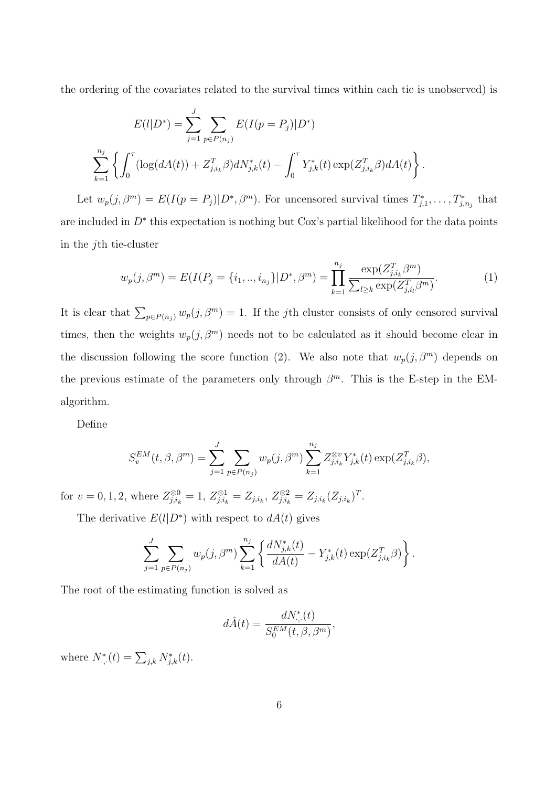the ordering of the covariates related to the survival times within each tie is unobserved) is

$$
E(l|D^*) = \sum_{j=1}^{J} \sum_{p \in P(n_j)} E(I(p = P_j)|D^*)
$$
  

$$
\sum_{k=1}^{n_j} \left\{ \int_0^{\tau} (\log(dA(t)) + Z_{j,i_k}^T \beta) dN_{j,k}^*(t) - \int_0^{\tau} Y_{j,k}^*(t) \exp(Z_{j,i_k}^T \beta) dA(t) \right\}.
$$

Let  $w_p(j, \beta^m) = E(I(p = P_j)|D^*, \beta^m)$ . For uncensored survival times  $T_{j,1}^*, \ldots, T_{j,n_j}^*$  that are included in  $D^*$  this expectation is nothing but Cox's partial likelihood for the data points in the jth tie-cluster

$$
w_p(j,\beta^m) = E(I(P_j = \{i_1,..,i_{n_j}\}|D^*,\beta^m) = \prod_{k=1}^{n_j} \frac{\exp(Z_{j,i_k}^T \beta^m)}{\sum_{l \ge k} \exp(Z_{j,i_l}^T \beta^m)}.
$$
(1)

It is clear that  $\sum_{p\in P(n_j)} w_p(j, \beta^m) = 1$ . If the jth cluster consists of only censored survival times, then the weights  $w_p(j, \beta^m)$  needs not to be calculated as it should become clear in the discussion following the score function (2). We also note that  $w_p(j, \beta^m)$  depends on the previous estimate of the parameters only through  $\beta^m$ . This is the E-step in the EMalgorithm.

Define

$$
S_v^{EM}(t, \beta, \beta^m) = \sum_{j=1}^J \sum_{p \in P(n_j)} w_p(j, \beta^m) \sum_{k=1}^{n_j} Z_{j, i_k}^{\otimes v} Y_{j, k}^*(t) \exp(Z_{j, i_k}^T \beta),
$$

for  $v = 0, 1, 2$ , where  $Z_{j,i_k}^{\otimes 0} = 1$ ,  $Z_{j,i_k}^{\otimes 1} = Z_{j,i_k}$ ,  $Z_{j,i_k}^{\otimes 2} = Z_{j,i_k} (Z_{j,i_k})^T$ .

The derivative  $E(l|D^*)$  with respect to  $dA(t)$  gives

$$
\sum_{j=1}^J \sum_{p \in P(n_j)} w_p(j,\beta^m) \sum_{k=1}^{n_j} \left\{ \frac{dN^*_{j,k}(t)}{dA(t)} - Y^*_{j,k}(t) \exp(Z_{j,i_k}^T \beta) \right\}.
$$

The root of the estimating function is solved as

$$
d\hat{A}(t) = \frac{dN^*_{\cdot,\cdot}(t)}{S_0^{EM}(t,\beta,\beta^m)},
$$

where  $N^*_{.,.}(t) = \sum_{j,k} N^*_{j,k}(t)$ .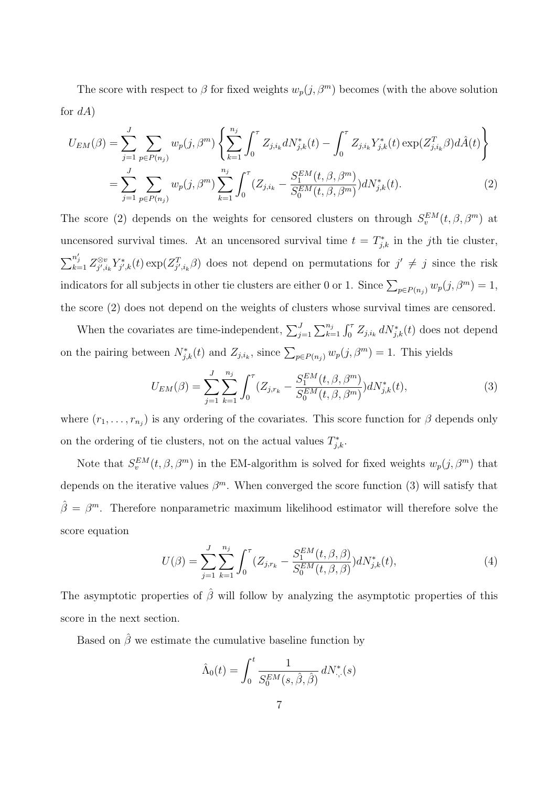The score with respect to  $\beta$  for fixed weights  $w_p(j, \beta^m)$  becomes (with the above solution for  $dA$ )

$$
U_{EM}(\beta) = \sum_{j=1}^{J} \sum_{p \in P(n_j)} w_p(j, \beta^m) \left\{ \sum_{k=1}^{n_j} \int_0^{\tau} Z_{j,i_k} dN_{j,k}^*(t) - \int_0^{\tau} Z_{j,i_k} Y_{j,k}^*(t) \exp(Z_{j,i_k}^T \beta) d\hat{A}(t) \right\}
$$
  

$$
= \sum_{j=1}^{J} \sum_{p \in P(n_j)} w_p(j, \beta^m) \sum_{k=1}^{n_j} \int_0^{\tau} (Z_{j,i_k} - \frac{S_1^{EM}(t, \beta, \beta^m)}{S_0^{EM}(t, \beta, \beta^m)}) dN_{j,k}^*(t).
$$
 (2)

The score (2) depends on the weights for censored clusters on through  $S_v^{EM}(t, \beta, \beta^m)$  at uncensored survival times. At an uncensored survival time  $t = T^*_{j,k}$  in the jth tie cluster,  $\sum_{k=1}^{n'_j} Z_{j',i}^{\otimes v}$  $\int_{j',i_k}^{\otimes v} Y^*_{j',k}(t) \exp(Z^T_{j',i_k}\beta)$  does not depend on permutations for  $j' \neq j$  since the risk indicators for all subjects in other tie clusters are either 0 or 1. Since  $\sum_{p\in P(n_j)} w_p(j, \beta^m) = 1$ , the score (2) does not depend on the weights of clusters whose survival times are censored.

When the covariates are time-independent,  $\sum_{j=1}^{J}$  $\sum_{k=1}^{n_j} \int_0^{\tau} Z_{j,i_k} dN_{j,k}^*(t)$  does not depend on the pairing between  $N_{j,k}^*(t)$  and  $Z_{j,i_k}$ , since  $\sum_{p \in P(n_j)} w_p(j,\beta^m) = 1$ . This yields

$$
U_{EM}(\beta) = \sum_{j=1}^{J} \sum_{k=1}^{n_j} \int_0^{\tau} (Z_{j,r_k} - \frac{S_1^{EM}(t,\beta,\beta^m)}{S_0^{EM}(t,\beta,\beta^m)}) dN_{j,k}^*(t), \tag{3}
$$

where  $(r_1, \ldots, r_{n_j})$  is any ordering of the covariates. This score function for  $\beta$  depends only on the ordering of tie clusters, not on the actual values  $T_{j,k}^*$ .

Note that  $S_v^{EM}(t, \beta, \beta^m)$  in the EM-algorithm is solved for fixed weights  $w_p(j, \beta^m)$  that depends on the iterative values  $\beta^m$ . When converged the score function (3) will satisfy that  $\hat{\beta} = \beta^m$ . Therefore nonparametric maximum likelihood estimator will therefore solve the score equation

$$
U(\beta) = \sum_{j=1}^{J} \sum_{k=1}^{n_j} \int_0^{\tau} (Z_{j,r_k} - \frac{S_1^{EM}(t,\beta,\beta)}{S_0^{EM}(t,\beta,\beta)}) dN_{j,k}^*(t), \tag{4}
$$

The asymptotic properties of  $\hat{\beta}$  will follow by analyzing the asymptotic properties of this score in the next section.

Based on  $\hat{\beta}$  we estimate the cumulative baseline function by

$$
\hat{\Lambda}_0(t) = \int_0^t \frac{1}{S_0^{EM}(s, \hat{\beta}, \hat{\beta})} dN^*_{\cdot, \cdot}(s)
$$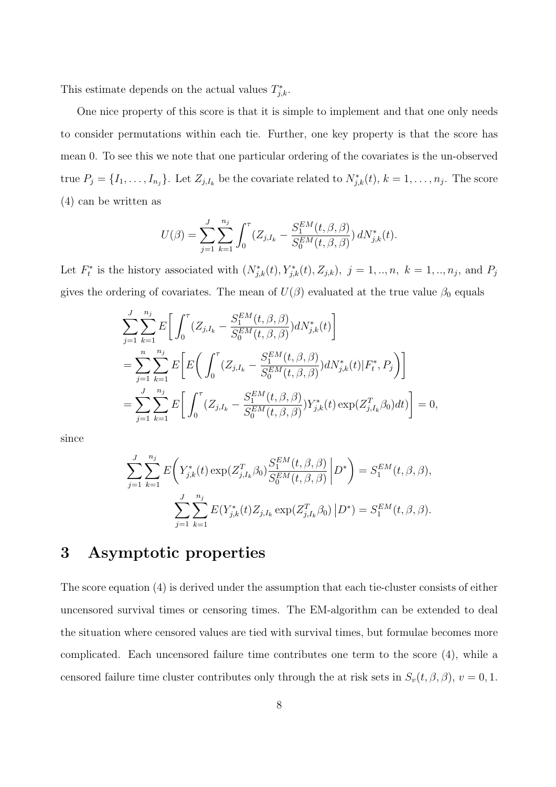This estimate depends on the actual values  $T_{j,k}^*$ .

One nice property of this score is that it is simple to implement and that one only needs to consider permutations within each tie. Further, one key property is that the score has mean 0. To see this we note that one particular ordering of the covariates is the un-observed true  $P_j = \{I_1, \ldots, I_{n_j}\}$ . Let  $Z_{j,I_k}$  be the covariate related to  $N_{j,k}^*(t)$ ,  $k = 1, \ldots, n_j$ . The score (4) can be written as

$$
U(\beta) = \sum_{j=1}^{J} \sum_{k=1}^{n_j} \int_0^{\tau} (Z_{j,I_k} - \frac{S_1^{EM}(t,\beta,\beta)}{S_0^{EM}(t,\beta,\beta)}) dN_{j,k}^*(t).
$$

Let  $F_t^*$  is the history associated with  $(N^*_{j,k}(t), Y^*_{j,k}(t), Z_{j,k}), j = 1, ..., n, k = 1, ..., n_j$ , and  $P_j$ gives the ordering of covariates. The mean of  $U(\beta)$  evaluated at the true value  $\beta_0$  equals

$$
\sum_{j=1}^{J} \sum_{k=1}^{n_j} E\bigg[ \int_0^{\tau} (Z_{j,I_k} - \frac{S_1^{EM}(t,\beta,\beta)}{S_0^{EM}(t,\beta,\beta)}) dN_{j,k}^*(t) \bigg]
$$
\n
$$
= \sum_{j=1}^{n} \sum_{k=1}^{n_j} E\bigg[ E\bigg( \int_0^{\tau} (Z_{j,I_k} - \frac{S_1^{EM}(t,\beta,\beta)}{S_0^{EM}(t,\beta,\beta)}) dN_{j,k}^*(t) | F_t^*, P_j \bigg) \bigg]
$$
\n
$$
= \sum_{j=1}^{J} \sum_{k=1}^{n_j} E\bigg[ \int_0^{\tau} (Z_{j,I_k} - \frac{S_1^{EM}(t,\beta,\beta)}{S_0^{EM}(t,\beta,\beta)}) Y_{j,k}^*(t) \exp(Z_{j,I_k}^T \beta_0) dt \bigg] = 0,
$$

since

$$
\sum_{j=1}^{J} \sum_{k=1}^{n_j} E\left(Y_{j,k}^*(t) \exp(Z_{j,I_k}^T \beta_0) \frac{S_1^{EM}(t, \beta, \beta)}{S_0^{EM}(t, \beta, \beta)} \middle| D^* \right) = S_1^{EM}(t, \beta, \beta),
$$
  

$$
\sum_{j=1}^{J} \sum_{k=1}^{n_j} E(Y_{j,k}^*(t) Z_{j,I_k} \exp(Z_{j,I_k}^T \beta_0) \middle| D^* \right) = S_1^{EM}(t, \beta, \beta).
$$

# 3 Asymptotic properties

The score equation (4) is derived under the assumption that each tie-cluster consists of either uncensored survival times or censoring times. The EM-algorithm can be extended to deal the situation where censored values are tied with survival times, but formulae becomes more complicated. Each uncensored failure time contributes one term to the score (4), while a censored failure time cluster contributes only through the at risk sets in  $S_v(t, \beta, \beta), v = 0, 1$ .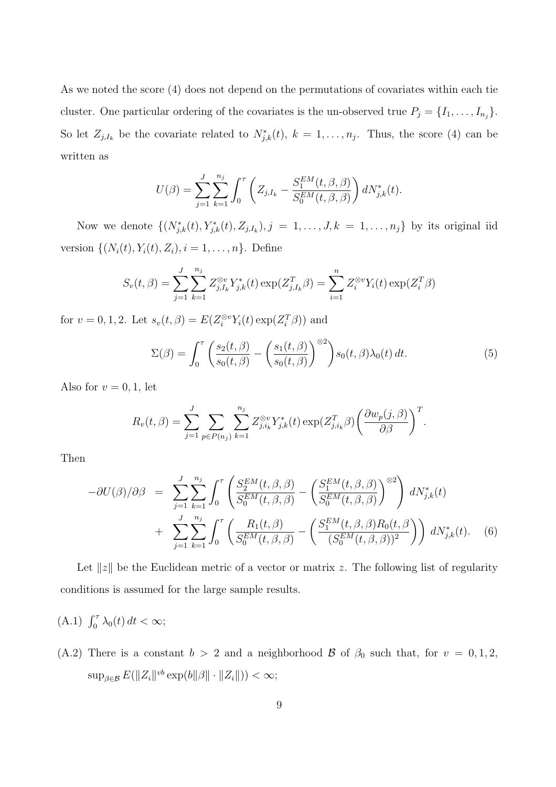As we noted the score (4) does not depend on the permutations of covariates within each tie cluster. One particular ordering of the covariates is the un-observed true  $P_j = \{I_1, \ldots, I_{n_j}\}.$ So let  $Z_{j,I_k}$  be the covariate related to  $N_{j,k}^*(t)$ ,  $k = 1, \ldots, n_j$ . Thus, the score (4) can be written as

$$
U(\beta) = \sum_{j=1}^{J} \sum_{k=1}^{n_j} \int_0^{\tau} \left( Z_{j,I_k} - \frac{S_1^{EM}(t,\beta,\beta)}{S_0^{EM}(t,\beta,\beta)} \right) dN_{j,k}^*(t).
$$

Now we denote  $\{(N_{j,k}^*(t), Y_{j,k}^*(t), Z_{j,I_k}), j = 1, \ldots, J, k = 1, \ldots, n_j\}$  by its original iid version  $\{(N_i(t), Y_i(t), Z_i), i = 1, ..., n\}$ . Define

$$
S_v(t,\beta) = \sum_{j=1}^J \sum_{k=1}^{n_j} Z_{j,I_k}^{\otimes v} Y_{j,k}^*(t) \exp(Z_{j,I_k}^T \beta) = \sum_{i=1}^n Z_i^{\otimes v} Y_i(t) \exp(Z_i^T \beta)
$$

for  $v = 0, 1, 2$ . Let  $s_v(t, \beta) = E(Z_i^{\otimes v} Y_i(t) \exp(Z_i^T \beta))$  and

$$
\Sigma(\beta) = \int_0^\tau \left( \frac{s_2(t,\beta)}{s_0(t,\beta)} - \left( \frac{s_1(t,\beta)}{s_0(t,\beta)} \right)^{\otimes 2} \right) s_0(t,\beta) \lambda_0(t) dt.
$$
 (5)

Also for  $v = 0, 1$ , let

$$
R_v(t,\beta) = \sum_{j=1}^J \sum_{p \in P(n_j)} \sum_{k=1}^{n_j} Z_{j,i_k}^{\otimes v} Y_{j,k}^*(t) \exp(Z_{j,i_k}^T \beta) \left(\frac{\partial w_p(j,\beta)}{\partial \beta}\right)^T.
$$

Then

$$
-\partial U(\beta)/\partial \beta = \sum_{j=1}^{J} \sum_{k=1}^{n_j} \int_0^{\tau} \left( \frac{S_2^{EM}(t, \beta, \beta)}{S_0^{EM}(t, \beta, \beta)} - \left( \frac{S_1^{EM}(t, \beta, \beta)}{S_0^{EM}(t, \beta, \beta)} \right)^{\otimes 2} \right) dN_{j,k}^*(t) + \sum_{j=1}^{J} \sum_{k=1}^{n_j} \int_0^{\tau} \left( \frac{R_1(t, \beta)}{S_0^{EM}(t, \beta, \beta)} - \left( \frac{S_1^{EM}(t, \beta, \beta)R_0(t, \beta)}{(S_0^{EM}(t, \beta, \beta))^2} \right) \right) dN_{j,k}^*(t).
$$
 (6)

Let  $||z||$  be the Euclidean metric of a vector or matrix z. The following list of regularity conditions is assumed for the large sample results.

- (A.1)  $\int_0^{\tau} \lambda_0(t) dt < \infty;$
- (A.2) There is a constant  $b > 2$  and a neighborhood  $\beta$  of  $\beta_0$  such that, for  $v = 0, 1, 2$ ,  $\sup_{\beta \in \mathcal{B}} E(||Z_i||^{vb} \exp(b||\beta|| \cdot ||Z_i||)) < \infty;$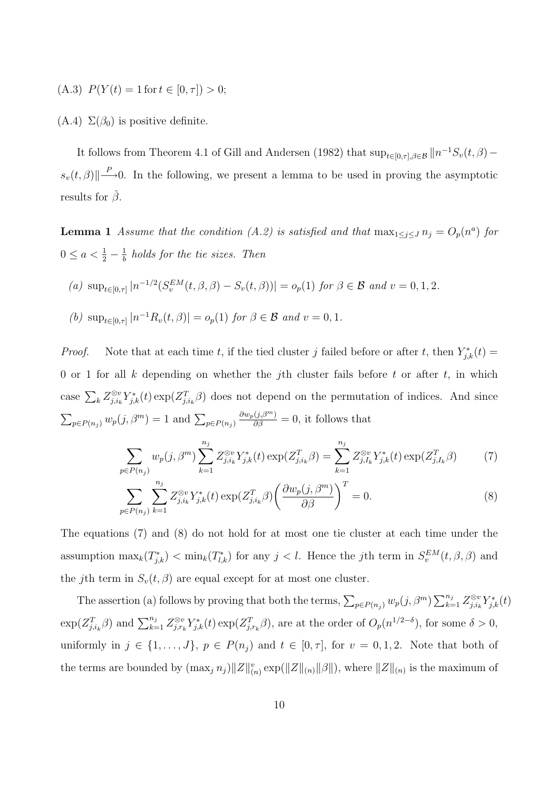(A.3)  $P(Y(t) = 1$  for  $t \in [0, \tau]) > 0$ ;

(A.4)  $\Sigma(\beta_0)$  is positive definite.

It follows from Theorem 4.1 of Gill and Andersen (1982) that  $\sup_{t\in[0,\tau],\beta\in\mathcal{B}}\|n^{-1}S_v(t,\beta)$  $s_v(t, \beta)$ || $\xrightarrow{P}$ -0. In the following, we present a lemma to be used in proving the asymptotic results for  $\hat{\beta}$ .

**Lemma 1** Assume that the condition (A.2) is satisfied and that  $\max_{1 \leq j \leq J} n_j = O_p(n^a)$  for  $0 \le a < \frac{1}{2} - \frac{1}{b}$  $\frac{1}{b}$  holds for the tie sizes. Then

(a) 
$$
\sup_{t \in [0,\tau]} |n^{-1/2}(S_v^{EM}(t,\beta,\beta) - S_v(t,\beta))| = o_p(1)
$$
 for  $\beta \in \mathcal{B}$  and  $v = 0,1,2$ .

(b)  $\sup_{t \in [0,\tau]} |n^{-1}R_v(t,\beta)| = o_p(1)$  for  $\beta \in \mathcal{B}$  and  $v = 0,1$ .

*Proof.* Note that at each time t, if the tied cluster j failed before or after t, then  $Y_{j,k}^*(t) =$ 0 or 1 for all  $k$  depending on whether the j<sup>th</sup> cluster fails before  $t$  or after  $t$ , in which case  $\sum_{k} Z_{j,i_k}^{\otimes v}$  $\int_{j,i_k}^{\otimes v} Y_{j,k}^*(t) \exp(Z_{j,i_k}^T \beta)$  does not depend on the permutation of indices. And since  $\sum_{p \in P(n_j)} w_p(j, \beta^m) = 1$  and  $\sum_{p \in P(n_j)} w_p(j, \beta^m)$  $\frac{\partial w_p(j,\beta^m)}{\partial \beta} = 0$ , it follows that

$$
\sum_{p \in P(n_j)} w_p(j, \beta^m) \sum_{k=1}^{n_j} Z_{j, i_k}^{\otimes v} Y_{j,k}^*(t) \exp(Z_{j, i_k}^T \beta) = \sum_{k=1}^{n_j} Z_{j, I_k}^{\otimes v} Y_{j,k}^*(t) \exp(Z_{j, I_k}^T \beta) \tag{7}
$$

$$
\sum_{p \in P(n_j)} \sum_{k=1}^{n_j} Z_{j,i_k}^{\otimes v} Y_{j,k}^*(t) \exp(Z_{j,i_k}^T \beta) \left( \frac{\partial w_p(j, \beta^m)}{\partial \beta} \right)^T = 0.
$$
 (8)

The equations (7) and (8) do not hold for at most one tie cluster at each time under the assumption  $\max_k(T^*_{j,k}) < \min_k(T^*_{l,k})$  for any  $j < l$ . Hence the jth term in  $S_v^{EM}(t, \beta, \beta)$  and the jth term in  $S_v(t, \beta)$  are equal except for at most one cluster.

The assertion (a) follows by proving that both the terms,  $\sum_{p \in P(n_j)} w_p(j, \beta^m) \sum_{k=1}^{n_j} w_k(j, \beta^m)$  $\frac{n_j}{k=1}\,Z_{j,i_k}^{\otimes v}$  $\sum_{j,i_k}^{\otimes v} Y_{j,k}^*(t)$  $\exp(Z_{j,i_k}^T \beta)$  and  $\sum_{k=1}^{n_j} Z_{j,r_i}^{\otimes v}$  $\int_{j,r_k}^{\otimes v} Y_{j,k}^*(t) \exp(Z_{j,r_k}^T \beta),$  are at the order of  $O_p(n^{1/2-\delta})$ , for some  $\delta > 0$ , uniformly in  $j \in \{1, \ldots, J\}$ ,  $p \in P(n_j)$  and  $t \in [0, \tau]$ , for  $v = 0, 1, 2$ . Note that both of the terms are bounded by  $(\max_j n_j) \|Z\|_{(n)}^v \exp(||Z\|_{(n)} ||\beta||)$ , where  $||Z\|_{(n)}$  is the maximum of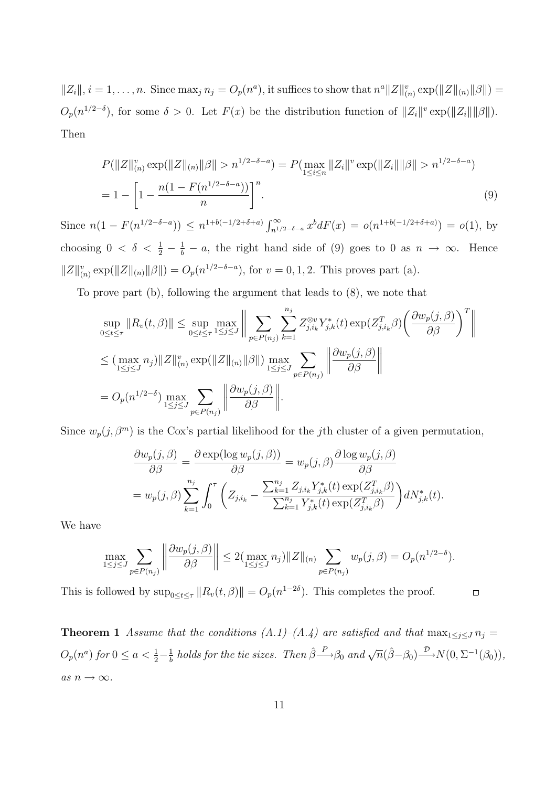$||Z_i||, i = 1, \ldots, n$ . Since  $\max_j n_j = O_p(n^a)$ , it suffices to show that  $n^a ||Z||_{(n)}^v \exp(||Z||_{(n)} ||\beta||) =$  $O_p(n^{1/2-\delta})$ , for some  $\delta > 0$ . Let  $F(x)$  be the distribution function of  $||Z_i||^v \exp(||Z_i|| ||\beta||)$ . Then

$$
P(||Z||_{(n)}^v \exp(||Z||_{(n)} ||\beta|| > n^{1/2 - \delta - a}) = P(\max_{1 \le i \le n} ||Z_i||^v \exp(||Z_i|| ||\beta|| > n^{1/2 - \delta - a})
$$
  
= 
$$
1 - \left[1 - \frac{n(1 - F(n^{1/2 - \delta - a}))}{n}\right]^n.
$$
 (9)

Since  $n(1 - F(n^{1/2-\delta-a})) \leq n^{1+b(-1/2+\delta+a)} \int_{n^{1/\delta}}^{\infty}$  $\int_{n^{1/2-\delta-a}}^{\infty} x^b dF(x) = o(n^{1+b(-1/2+\delta+a)}) = o(1)$ , by choosing  $0 < \delta < \frac{1}{2} - \frac{1}{b} - a$ , the right hand side of (9) goes to 0 as  $n \to \infty$ . Hence  $||Z||_{(n)}^v \exp(||Z||_{(n)}||\beta||) = O_p(n^{1/2-\delta-a}),$  for  $v = 0, 1, 2$ . This proves part (a).

To prove part (b), following the argument that leads to (8), we note that

$$
\sup_{0 \le t \le \tau} \|R_v(t,\beta)\| \le \sup_{0 \le t \le \tau} \max_{1 \le j \le J} \left\| \sum_{p \in P(n_j)} \sum_{k=1}^{n_j} Z_{j,i_k}^{\otimes v} Y_{j,k}^*(t) \exp(Z_{j,i_k}^T \beta) \left( \frac{\partial w_p(j,\beta)}{\partial \beta} \right)^T \right\|
$$
  

$$
\le (\max_{1 \le j \le J} n_j) \|Z\|_{(n)}^v \exp(\|Z\|_{(n)} \|\beta\|) \max_{1 \le j \le J} \sum_{p \in P(n_j)} \left\| \frac{\partial w_p(j,\beta)}{\partial \beta} \right\|
$$
  

$$
= O_p(n^{1/2-\delta}) \max_{1 \le j \le J} \sum_{p \in P(n_j)} \left\| \frac{\partial w_p(j,\beta)}{\partial \beta} \right\|.
$$

Since  $w_p(j, \beta^m)$  is the Cox's partial likelihood for the jth cluster of a given permutation,

$$
\frac{\partial w_p(j,\beta)}{\partial \beta} = \frac{\partial \exp(\log w_p(j,\beta))}{\partial \beta} = w_p(j,\beta) \frac{\partial \log w_p(j,\beta)}{\partial \beta}
$$

$$
= w_p(j,\beta) \sum_{k=1}^{n_j} \int_0^\tau \left( Z_{j,i_k} - \frac{\sum_{k=1}^{n_j} Z_{j,i_k} Y_{j,k}^*(t) \exp(Z_{j,i_k}^T \beta)}{\sum_{k=1}^{n_j} Y_{j,k}^*(t) \exp(Z_{j,i_k}^T \beta)} \right) dN_{j,k}^*(t).
$$

We have

$$
\max_{1 \leq j \leq J} \sum_{p \in P(n_j)} \left\| \frac{\partial w_p(j,\beta)}{\partial \beta} \right\| \leq 2 \left( \max_{1 \leq j \leq J} n_j \right) \|Z\|_{(n)} \sum_{p \in P(n_j)} w_p(j,\beta) = O_p(n^{1/2-\delta}).
$$

This is followed by  $\sup_{0 \le t \le \tau} ||R_v(t, \beta)|| = O_p(n^{1-2\delta})$ . This completes the proof.  $\Box$ 

**Theorem 1** Assume that the conditions  $(A.1)$ – $(A.4)$  are satisfied and that  $\max_{1 \leq j \leq J} n_j =$  $O_p(n^a)$  for  $0 \le a < \frac{1}{2} - \frac{1}{b}$  $\frac{1}{b}$  holds for the tie sizes. Then  $\hat{\beta} \rightarrow \beta_0$  and  $\sqrt{n}(\hat{\beta} - \beta_0) \rightarrow N(0, \Sigma^{-1}(\beta_0)),$ as  $n \to \infty$ .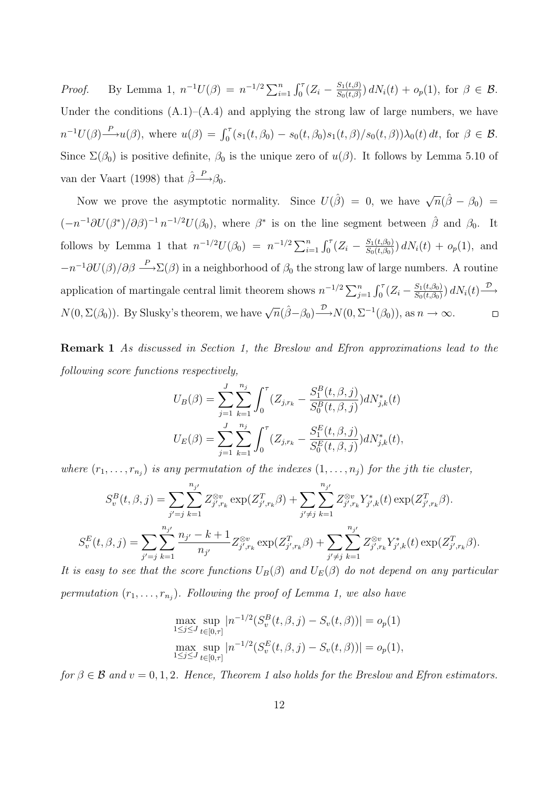*Proof.* By Lemma 1,  $n^{-1}U(\beta) = n^{-1/2} \sum_{i=1}^n \int_0^{\tau} (Z_i - \frac{S_1(t,\beta)}{S_0(t,\beta)})$  $\frac{S_1(t,\beta)}{S_0(t,\beta)}$   $dN_i(t) + o_p(1)$ , for  $\beta \in \mathcal{B}$ . Under the conditions  $(A.1)$ – $(A.4)$  and applying the strong law of large numbers, we have  $n^{-1}U(\beta) \xrightarrow{P} u(\beta)$ , where  $u(\beta) = \int_0^{\tau} (s_1(t, \beta_0) - s_0(t, \beta_0)s_1(t, \beta)/s_0(t, \beta))\lambda_0(t) dt$ , for  $\beta \in \mathcal{B}$ . Since  $\Sigma(\beta_0)$  is positive definite,  $\beta_0$  is the unique zero of  $u(\beta)$ . It follows by Lemma 5.10 of van der Vaart (1998) that  $\hat{\beta} \rightarrow{\hspace{-.03in}P}$ ,

Now we prove the asymptotic normality. Since  $U(\hat{\beta}) = 0$ , we have  $\sqrt{n}(\hat{\beta} - \beta_0) =$  $(-n^{-1}\partial U(\beta^*)/\partial \beta)^{-1}n^{-1/2}U(\beta_0)$ , where  $\beta^*$  is on the line segment between  $\hat{\beta}$  and  $\beta_0$ . It follows by Lemma 1 that  $n^{-1/2}U(\beta_0) = n^{-1/2}\sum_{i=1}^n \int_0^{\tau} (Z_i - \frac{S_1(t,\beta_0)}{S_0(t,\beta_0)})$  $\frac{S_1(t,\beta_0)}{S_0(t,\beta_0)}$   $dN_i(t) + o_p(1)$ , and  $-n^{-1}\partial U(\beta)/\partial \beta \longrightarrow \Sigma(\beta)$  in a neighborhood of  $\beta_0$  the strong law of large numbers. A routine application of martingale central limit theorem shows  $n^{-1/2} \sum_{j=1}^{n} \int_0^{\tau} (Z_i - \frac{S_1(t,\beta_0)}{S_0(t,\beta_0)})$  $\frac{S_1(t,\beta_0)}{S_0(t,\beta_0)}$  d $N_i(t) \rightarrow$  $N(0, \Sigma(\beta_0))$ . By Slusky's theorem, we have  $\sqrt{n}(\hat{\beta}-\beta_0) \stackrel{\mathcal{D}}{\longrightarrow} N(0, \Sigma^{-1}(\beta_0))$ , as  $n \to \infty$ .  $\Box$ 

Remark 1 As discussed in Section 1, the Breslow and Efron approximations lead to the following score functions respectively,

$$
U_B(\beta) = \sum_{j=1}^J \sum_{k=1}^{n_j} \int_0^{\tau} (Z_{j,r_k} - \frac{S_1^B(t,\beta,j)}{S_0^B(t,\beta,j)}) dN_{j,k}^*(t)
$$
  

$$
U_E(\beta) = \sum_{j=1}^J \sum_{k=1}^{n_j} \int_0^{\tau} (Z_{j,r_k} - \frac{S_1^E(t,\beta,j)}{S_0^E(t,\beta,j)}) dN_{j,k}^*(t),
$$

where  $(r_1, \ldots, r_{n_j})$  is any permutation of the indexes  $(1, \ldots, n_j)$  for the jth tie cluster,

$$
S_v^B(t, \beta, j) = \sum_{j'=j} \sum_{k=1}^{n_{j'}} Z_{j',r_k}^{\otimes v} \exp(Z_{j',r_k}^T \beta) + \sum_{j'\neq j} \sum_{k=1}^{n_{j'}} Z_{j',r_k}^{\otimes v} Y_{j',k}^*(t) \exp(Z_{j',r_k}^T \beta).
$$
  

$$
S_v^E(t, \beta, j) = \sum_{j'=j} \sum_{k=1}^{n_{j'}} \frac{n_{j'} - k + 1}{n_{j'}} Z_{j',r_k}^{\otimes v} \exp(Z_{j',r_k}^T \beta) + \sum_{j'\neq j} \sum_{k=1}^{n_{j'}} Z_{j',r_k}^{\otimes v} Y_{j',k}^*(t) \exp(Z_{j',r_k}^T \beta).
$$

It is easy to see that the score functions  $U_B(\beta)$  and  $U_E(\beta)$  do not depend on any particular permutation  $(r_1, \ldots, r_{n_j})$ . Following the proof of Lemma 1, we also have

$$
\max_{1 \le j \le J} \sup_{t \in [0,\tau]} |n^{-1/2}(S_v^B(t,\beta,j) - S_v(t,\beta))| = o_p(1)
$$
  
\n
$$
\max_{1 \le j \le J} \sup_{t \in [0,\tau]} |n^{-1/2}(S_v^E(t,\beta,j) - S_v(t,\beta))| = o_p(1),
$$

for  $\beta \in \mathcal{B}$  and  $v = 0, 1, 2$ . Hence, Theorem 1 also holds for the Breslow and Efron estimators.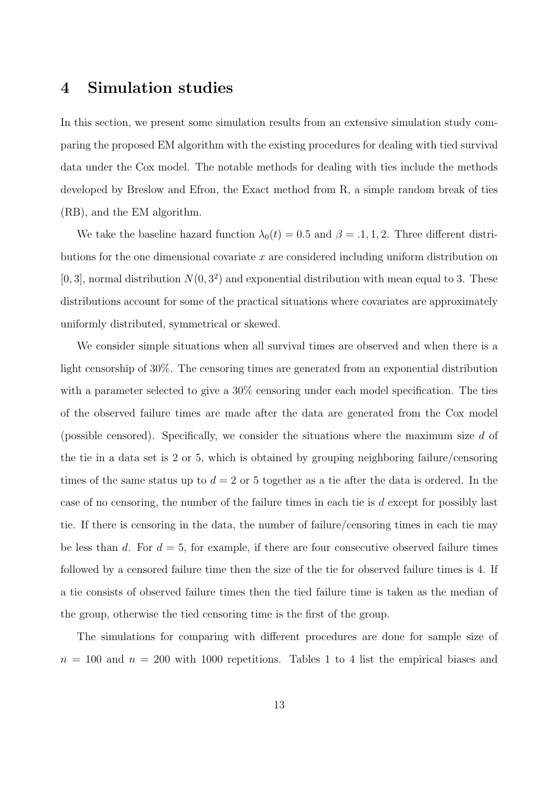### 4 Simulation studies

In this section, we present some simulation results from an extensive simulation study comparing the proposed EM algorithm with the existing procedures for dealing with tied survival data under the Cox model. The notable methods for dealing with ties include the methods developed by Breslow and Efron, the Exact method from R, a simple random break of ties (RB), and the EM algorithm.

We take the baseline hazard function  $\lambda_0(t) = 0.5$  and  $\beta = .1, 1, 2$ . Three different distributions for the one dimensional covariate  $x$  are considered including uniform distribution on  $[0,3]$ , normal distribution  $N(0,3^2)$  and exponential distribution with mean equal to 3. These distributions account for some of the practical situations where covariates are approximately uniformly distributed, symmetrical or skewed.

We consider simple situations when all survival times are observed and when there is a light censorship of 30%. The censoring times are generated from an exponential distribution with a parameter selected to give a  $30\%$  censoring under each model specification. The ties of the observed failure times are made after the data are generated from the Cox model (possible censored). Specifically, we consider the situations where the maximum size  $d$  of the tie in a data set is 2 or 5, which is obtained by grouping neighboring failure/censoring times of the same status up to  $d = 2$  or 5 together as a tie after the data is ordered. In the case of no censoring, the number of the failure times in each tie is  $d$  except for possibly last tie. If there is censoring in the data, the number of failure/censoring times in each tie may be less than d. For  $d = 5$ , for example, if there are four consecutive observed failure times followed by a censored failure time then the size of the tie for observed failure times is 4. If a tie consists of observed failure times then the tied failure time is taken as the median of the group, otherwise the tied censoring time is the first of the group.

The simulations for comparing with different procedures are done for sample size of  $n = 100$  and  $n = 200$  with 1000 repetitions. Tables 1 to 4 list the empirical biases and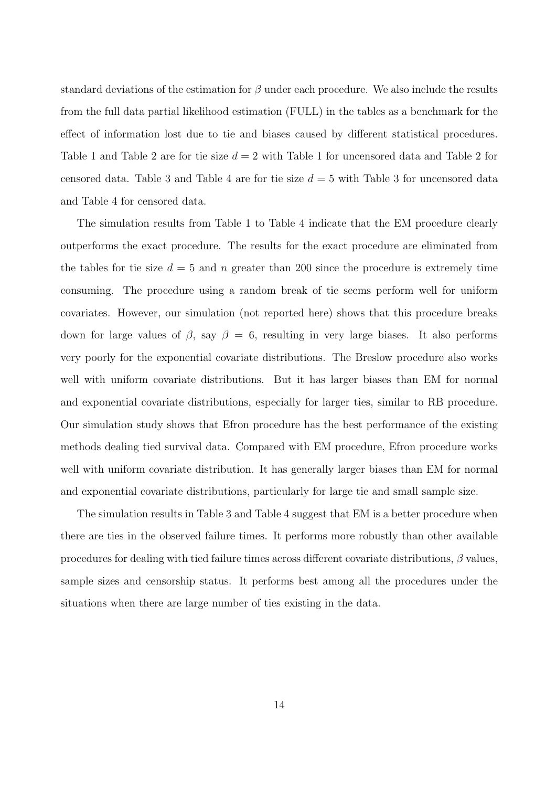standard deviations of the estimation for  $\beta$  under each procedure. We also include the results from the full data partial likelihood estimation (FULL) in the tables as a benchmark for the effect of information lost due to tie and biases caused by different statistical procedures. Table 1 and Table 2 are for tie size  $d = 2$  with Table 1 for uncensored data and Table 2 for censored data. Table 3 and Table 4 are for tie size  $d = 5$  with Table 3 for uncensored data and Table 4 for censored data.

The simulation results from Table 1 to Table 4 indicate that the EM procedure clearly outperforms the exact procedure. The results for the exact procedure are eliminated from the tables for tie size  $d = 5$  and n greater than 200 since the procedure is extremely time consuming. The procedure using a random break of tie seems perform well for uniform covariates. However, our simulation (not reported here) shows that this procedure breaks down for large values of  $\beta$ , say  $\beta = 6$ , resulting in very large biases. It also performs very poorly for the exponential covariate distributions. The Breslow procedure also works well with uniform covariate distributions. But it has larger biases than EM for normal and exponential covariate distributions, especially for larger ties, similar to RB procedure. Our simulation study shows that Efron procedure has the best performance of the existing methods dealing tied survival data. Compared with EM procedure, Efron procedure works well with uniform covariate distribution. It has generally larger biases than EM for normal and exponential covariate distributions, particularly for large tie and small sample size.

The simulation results in Table 3 and Table 4 suggest that EM is a better procedure when there are ties in the observed failure times. It performs more robustly than other available procedures for dealing with tied failure times across different covariate distributions,  $\beta$  values, sample sizes and censorship status. It performs best among all the procedures under the situations when there are large number of ties existing in the data.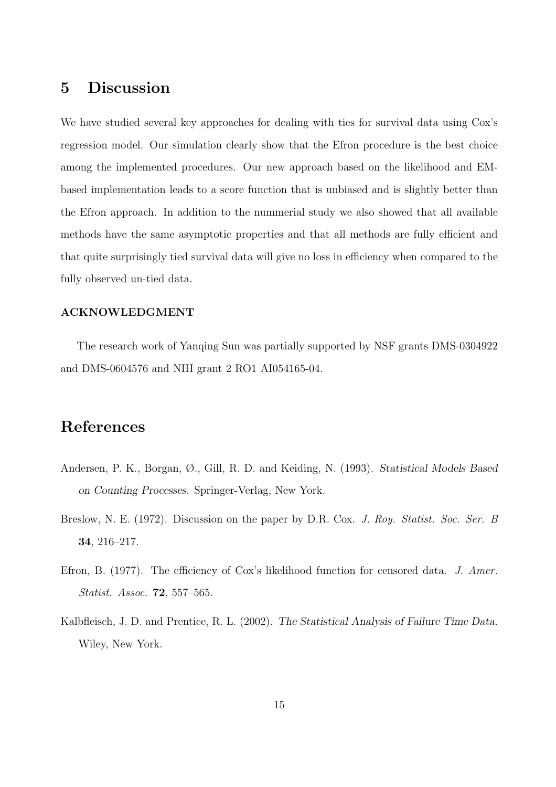## 5 Discussion

We have studied several key approaches for dealing with ties for survival data using Cox's regression model. Our simulation clearly show that the Efron procedure is the best choice among the implemented procedures. Our new approach based on the likelihood and EMbased implementation leads to a score function that is unbiased and is slightly better than the Efron approach. In addition to the nummerial study we also showed that all available methods have the same asymptotic properties and that all methods are fully efficient and that quite surprisingly tied survival data will give no loss in efficiency when compared to the fully observed un-tied data.

#### ACKNOWLEDGMENT

The research work of Yanqing Sun was partially supported by NSF grants DMS-0304922 and DMS-0604576 and NIH grant 2 RO1 AI054165-04.

## References

- Andersen, P. K., Borgan, Ø., Gill, R. D. and Keiding, N. (1993). Statistical Models Based on Counting Processes. Springer-Verlag, New York.
- Breslow, N. E. (1972). Discussion on the paper by D.R. Cox. J. Roy. Statist. Soc. Ser. B 34, 216–217.
- Efron, B. (1977). The efficiency of Cox's likelihood function for censored data. J. Amer. Statist. Assoc. 72, 557–565.
- Kalbfleisch, J. D. and Prentice, R. L. (2002). The Statistical Analysis of Failure Time Data. Wiley, New York.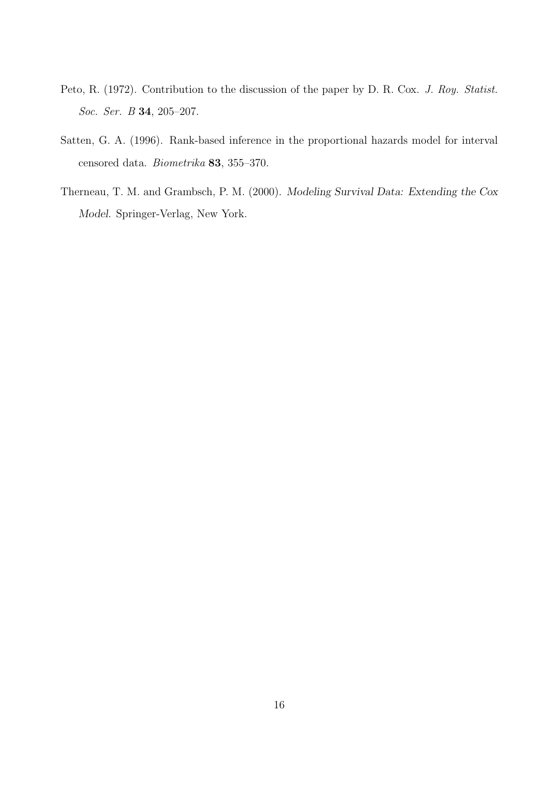- Peto, R. (1972). Contribution to the discussion of the paper by D. R. Cox. J. Roy. Statist. Soc. Ser. B 34, 205–207.
- Satten, G. A. (1996). Rank-based inference in the proportional hazards model for interval censored data. Biometrika 83, 355–370.
- Therneau, T. M. and Grambsch, P. M. (2000). Modeling Survival Data: Extending the Cox Model. Springer-Verlag, New York.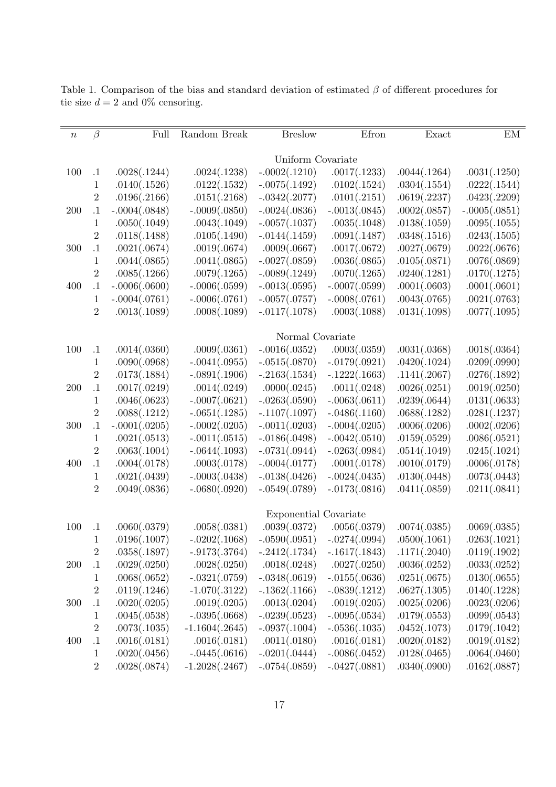| $\boldsymbol{n}$ | $\beta$          | Full            | Random Break     | <b>Breslow</b>               | Efron           | Exact        | EM              |  |  |
|------------------|------------------|-----------------|------------------|------------------------------|-----------------|--------------|-----------------|--|--|
|                  |                  |                 |                  |                              |                 |              |                 |  |  |
|                  |                  |                 |                  | Uniform Covariate            |                 |              |                 |  |  |
| 100              | $\cdot$          | .0028(.1244)    | .0024(.1238)     | $-.0002(.1210)$              | .0017(.1233)    | .0044(.1264) | .0031(.1250)    |  |  |
|                  | 1                | .0140(.1526)    | .0122(.1532)     | $-.0075(.1492)$              | .0102(.1524)    | .0304(.1554) | .0222(.1544)    |  |  |
|                  | $\overline{2}$   | .0196(.2166)    | .0151(.2168)     | $-.0342(.2077)$              | .0101(.2151)    | .0619(.2237) | .0423(.2209)    |  |  |
| 200              | $\cdot 1$        | $-.0004(.0848)$ | $-.0009(.0850)$  | $-.0024(.0836)$              | $-.0013(.0845)$ | .0002(.0857) | $-.0005(.0851)$ |  |  |
|                  | $\mathbf 1$      | .0050(.1049)    | .0043(.1049)     | $-.0057(.1037)$              | .0035(.1048)    | .0138(.1059) | .0095(.1055)    |  |  |
|                  | $\sqrt{2}$       | .0118(.1488)    | .0105(.1490)     | $-.0144(.1459)$              | .0091(.1487)    | .0348(.1516) | .0243(.1505)    |  |  |
| 300              | $\cdot$ 1        | .0021(.0674)    | .0019(.0674)     | .0009(.0667)                 | .0017(.0672)    | .0027(.0679) | .0022(.0676)    |  |  |
|                  | $\mathbf{1}$     | .0044(.0865)    | .0041(.0865)     | $-.0027(.0859)$              | .0036(.0865)    | .0105(.0871) | .0076(.0869)    |  |  |
|                  | $\sqrt{2}$       | .0085(.1266)    | .0079(.1265)     | $-.0089(.1249)$              | .0070(.1265)    | .0240(.1281) | .0170(.1275)    |  |  |
| 400              | $\cdot$ 1        | $-.0006(.0600)$ | $-.0006(.0599)$  | $-.0013(.0595)$              | $-.0007(.0599)$ | .0001(.0603) | .0001(.0601)    |  |  |
|                  | $\mathbf{1}$     | $-.0004(.0761)$ | $-.0006(.0761)$  | $-.0057(.0757)$              | $-.0008(.0761)$ | .0043(.0765) | .0021(.0763)    |  |  |
|                  | $\overline{2}$   | .0013(.1089)    | .0008(.1089)     | $-.0117(.1078)$              | .0003(.1088)    | .0131(.1098) | .0077(.1095)    |  |  |
|                  |                  |                 |                  | Normal Covariate             |                 |              |                 |  |  |
| 100              | $\cdot$ 1        | .0014(.0360)    | .0009(.0361)     | $-.0016(.0352)$              | .0003(.0359)    | .0031(.0368) | .0018(.0364)    |  |  |
|                  | $\mathbf{1}$     | .0090(.0968)    | $-.0041(.0955)$  | $-.0515(.0870)$              | $-.0179(.0921)$ | .0420(.1024) | .0209(.0990)    |  |  |
|                  | $\boldsymbol{2}$ | .0173(.1884)    | $-.0891(.1906)$  | $-.2163(.1534)$              | $-.1222(.1663)$ | .1141(.2067) | .0276(.1892)    |  |  |
| 200              | $\cdot$ 1        | .0017(.0249)    | .0014(.0249)     | .0000(.0245)                 | .0011(.0248)    | .0026(.0251) | .0019(.0250)    |  |  |
|                  | $\mathbf{1}$     | .0046(.0623)    | $-.0007(.0621)$  | $-.0263(.0590)$              | $-.0063(.0611)$ | .0239(.0644) | .0131(.0633)    |  |  |
|                  | $\sqrt{2}$       | .0088(.1212)    | $-.0651(.1285)$  | $-.1107(.1097)$              | $-.0486(.1160)$ | .0688(.1282) | .0281(.1237)    |  |  |
| 300              | $\cdot$ 1        | $-.0001(.0205)$ | $-.0002(.0205)$  | $-.0011(.0203)$              | $-.0004(.0205)$ | .0006(.0206) | .0002(.0206)    |  |  |
|                  | $\mathbf{1}$     | .0021(.0513)    | $-.0011(.0515)$  | $-.0186(.0498)$              | $-.0042(.0510)$ | .0159(.0529) | .0086(.0521)    |  |  |
|                  | $\sqrt{2}$       | .0063(.1004)    | $-.0644(.1093)$  | $-.0731(.0944)$              | $-.0263(.0984)$ | .0514(.1049) | .0245(.1024)    |  |  |
| 400              | $\cdot$ 1        | .0004(.0178)    | .0003(.0178)     | $-.0004(.0177)$              | .0001(.0178)    | .0010(.0179) | .0006(.0178)    |  |  |
|                  | 1                | .0021(.0439)    | $-.0003(.0438)$  | $-.0138(.0426)$              | $-.0024(.0435)$ | .0130(.0448) | .0073(.0443)    |  |  |
|                  | $\overline{2}$   | .0049(.0836)    | $-.0680(.0920)$  | $-.0549(.0789)$              | $-.0173(.0816)$ | .0411(.0859) | .0211(.0841)    |  |  |
|                  |                  |                 |                  |                              |                 |              |                 |  |  |
|                  |                  |                 |                  | <b>Exponential Covariate</b> |                 |              |                 |  |  |
| 100              | $\cdot$ 1        | .0060(.0379)    | .0058(.0381)     | .0039(.0372)                 | .0056(.0379)    | .0074(.0385) | .0069(.0385)    |  |  |
|                  | $\mathbf 1$      | .0196(.1007)    | $-.0202(.1068)$  | $-.0590(.0951)$              | $-.0274(.0994)$ | .0500(.1061) | .0263(.1021)    |  |  |
|                  | $\overline{2}$   | .0358(.1897)    | $-.9173(.3764)$  | $-.2412(.1734)$              | $-.1617(.1843)$ | .1171(.2040) | .0119(.1902)    |  |  |
| <b>200</b>       | $\cdot$ 1        | .0029(.0250)    | .0028(.0250)     | .0018(.0248)                 | .0027(.0250)    | .0036(.0252) | .0033(.0252)    |  |  |
|                  | $\mathbf{1}$     | .0068(.0652)    | $-.0321(.0759)$  | $-.0348(.0619)$              | $-.0155(.0636)$ | .0251(.0675) | .0130(.0655)    |  |  |
|                  | $\sqrt{2}$       | .0119(.1246)    | $-1.070(.3122)$  | $-.1362(.1166)$              | $-.0839(.1212)$ | .0627(.1305) | .0140(.1228)    |  |  |
| 300              | $\cdot$ 1        | .0020(.0205)    | .0019(.0205)     | .0013(.0204)                 | .0019(.0205)    | .0025(.0206) | .0023(.0206)    |  |  |
|                  | $\mathbf{1}$     | .0045(.0538)    | $-.0395(.0668)$  | $-.0239(.0523)$              | $-.0095(.0534)$ | .0179(.0553) | .0099(.0543)    |  |  |
|                  | $\sqrt{2}$       | .0073(.1035)    | $-1.1604(.2645)$ | $-.0937(.1004)$              | $-.0536(.1035)$ | .0452(.1073) | .0179(.1042)    |  |  |
| 400              | $\cdot$ 1        | .0016(.0181)    | .0016(.0181)     | .0011(.0180)                 | .0016(.0181)    | .0020(.0182) | .0019(.0182)    |  |  |
|                  | $\mathbf{1}$     | .0020(.0456)    | $-.0445(.0616)$  | $-.0201(.0444)$              | $-.0086(.0452)$ | .0128(.0465) | .0064(.0460)    |  |  |
|                  | $\sqrt{2}$       | .0028(.0874)    | $-1.2028(.2467)$ | $-.0754(.0859)$              | $-.0427(.0881)$ | .0340(.0900) | .0162(.0887)    |  |  |

Table 1. Comparison of the bias and standard deviation of estimated  $\beta$  of different procedures for tie size  $d = 2$  and 0% censoring.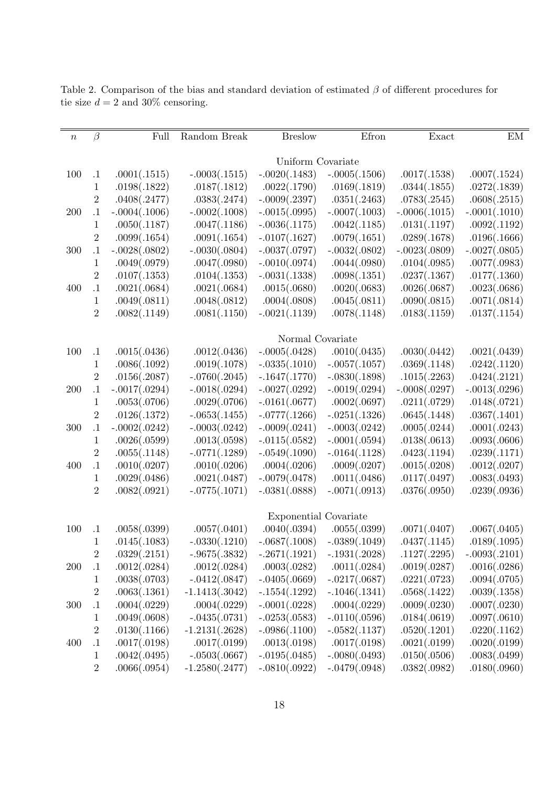| $\, n$     | $\beta$          | Full                  | Random Break     | <b>Breslow</b>    | Efron                          | Exact           | EM              |  |  |  |
|------------|------------------|-----------------------|------------------|-------------------|--------------------------------|-----------------|-----------------|--|--|--|
|            |                  |                       |                  |                   |                                |                 |                 |  |  |  |
|            |                  |                       |                  | Uniform Covariate |                                |                 |                 |  |  |  |
| 100        | $\cdot$ 1        | .0001(.1515)          | $-.0003(.1515)$  | $-.0020(.1483)$   | $-.0005(.1506)$                | .0017(.1538)    | .0007(.1524)    |  |  |  |
|            | $\mathbf 1$      | .0198(.1822)          | .0187(.1812)     | .0022(.1790)      | .0169(.1819)                   | .0344(.1855)    | .0272(.1839)    |  |  |  |
|            | $\overline{2}$   | .0408(.2477)          | .0383(.2474)     | $-.0009(.2397)$   | .0351(.2463)                   | .0783(.2545)    | .0608(.2515)    |  |  |  |
| <b>200</b> | $\cdot 1$        | $-.0004(.1006)$       | $-.0002(.1008)$  | $-.0015(.0995)$   | $-.0007(.1003)$                | $-.0006(.1015)$ | $-.0001(.1010)$ |  |  |  |
|            | 1                | .0050(.1187)          | .0047(.1186)     | $-.0036(.1175)$   | .0042(.1185)                   | .0131(.1197)    | .0092(.1192)    |  |  |  |
|            | $\overline{2}$   | .0099(.1654)          | .0091(.1654)     | $-.0107(.1627)$   | .0079(.1651)                   | .0289(.1678)    | .0196(.1666)    |  |  |  |
| 300        | $\cdot$ 1        | $-.0028(.0802)$       | $-.0030(.0804)$  | $-.0037(.0797)$   | $-.0032(.0802)$                | $-.0023(.0809)$ | $-.0027(.0805)$ |  |  |  |
|            | $\mathbf{1}$     | .0049(.0979)          | .0047(.0980)     | $-.0010(.0974)$   | .0044(.0980)                   | .0104(.0985)    | .0077(.0983)    |  |  |  |
|            | $\overline{2}$   | .0107(.1353)          | .0104(.1353)     | $-.0031(.1338)$   | .0098(.1351)                   | .0237(.1367)    | .0177(.1360)    |  |  |  |
| 400        | $\cdot$ 1        | .0021(.0684)          | .0021(.0684)     | .0015(.0680)      | .0020(.0683)                   | .0026(.0687)    | .0023(.0686)    |  |  |  |
|            | $\mathbf 1$      | .0049(.0811)          | .0048(.0812)     | .0004(.0808)      | .0045(.0811)                   | .0090(.0815)    | .0071(.0814)    |  |  |  |
|            | $\overline{2}$   | .0082(.1149)          | .0081(.1150)     | $-.0021(.1139)$   | .0078(.1148)                   | .0183(.1159)    | .0137(.1154)    |  |  |  |
|            |                  | Normal Covariate      |                  |                   |                                |                 |                 |  |  |  |
| 100        | $\cdot$ 1        | .0015(.0436)          | .0012(.0436)     | $-.0005(.0428)$   | .0010(.0435)                   | .0030(.0442)    | .0021(.0439)    |  |  |  |
|            |                  |                       | .0019(.1078)     | $-.0335(.1010)$   | $-.0057(.1057)$                | .0369(.1148)    | .0242(.1120)    |  |  |  |
|            | $\mathbf 1$      | .0086(.1092)          |                  |                   |                                |                 |                 |  |  |  |
|            | $\overline{2}$   | .0156(.2087)          | $-.0760(.2045)$  | $-.1647(.1770)$   | $-.0830(.1898)$                | .1015(.2263)    | .0424(.2121)    |  |  |  |
| 200        | $\cdot$ 1        | $-.0017(.0294)$       | $-.0018(.0294)$  | $-.0027(.0292)$   | $-.0019(.0294)$                | $-.0008(.0297)$ | $-.0013(.0296)$ |  |  |  |
|            | 1                | .0053(.0706)          | .0029(.0706)     | $-.0161(.0677)$   | .0002(.0697)                   | .0211(.0729)    | .0148(.0721)    |  |  |  |
|            | $\overline{2}$   | .0126(.1372)          | $-.0653(.1455)$  | $-.0777(.1266)$   | $-.0251(.1326)$                | .0645(.1448)    | .0367(.1401)    |  |  |  |
| 300        | $\cdot 1$        | $-.0002(.0242)$       | $-.0003(.0242)$  | $-.0009(.0241)$   | $-.0003(.0242)$                | .0005(.0244)    | .0001(.0243)    |  |  |  |
|            | 1                | .0026(.0599)          | .0013(.0598)     | $-.0115(.0582)$   | $-.0001(.0594)$                | .0138(.0613)    | .0093(.0606)    |  |  |  |
|            | $\overline{2}$   | .0055(.1148)          | $-.0771(.1289)$  | $-.0549(.1090)$   | $-.0164(.1128)$                | .0423(.1194)    | .0239(.1171)    |  |  |  |
| 400        | $\cdot$ 1        | .0010(.0207)          | .0010(.0206)     | .0004(.0206)      | .0009(.0207)                   | .0015(.0208)    | .0012(.0207)    |  |  |  |
|            | 1                | .0029(.0486)          | .0021(.0487)     | $-.0079(.0478)$   | .0011(.0486)                   | .0117(.0497)    | .0083(.0493)    |  |  |  |
|            | $\overline{2}$   | .0082(.0921)          | $-.0775(.1071)$  | $-.0381(.0888)$   | $-.0071(.0913)$                | .0376(.0950)    | .0239(.0936)    |  |  |  |
|            |                  | Exponential Covariate |                  |                   |                                |                 |                 |  |  |  |
| 100        | $\cdot$ 1        | .0058(.0399)          | .0057(.0401)     | .0040(.0394)      | .0055(.0399)                   | .0071(.0407)    | .0067(.0405)    |  |  |  |
|            | 1                | .0145(.1083)          | $-.0330(.1210)$  |                   | $-.0687(.1008) - .0389(.1049)$ | .0437(.1145)    | .0189(.1095)    |  |  |  |
|            | $\overline{2}$   | .0329(.2151)          | $-.9675(.3832)$  | $-.2671(.1921)$   | $-.1931(.2028)$                | .1127(.2295)    | $-.0093(.2101)$ |  |  |  |
| 200        | $\cdot 1$        | .0012(.0284)          | .0012(.0284)     | .0003(.0282)      | .0011(.0284)                   | .0019(.0287)    | .0016(.0286)    |  |  |  |
|            | $\mathbf 1$      | .0038(.0703)          | $-.0412(.0847)$  | $-.0405(.0669)$   | $-.0217(.0687)$                | .0221(.0723)    | .0094(.0705)    |  |  |  |
|            | $\,2$            | .0063(.1361)          | $-1.1413(.3042)$ | $-.1554(.1292)$   | $-.1046(.1341)$                | .0568(.1422)    | .0039(.1358)    |  |  |  |
| 300        | $\cdot$ 1        | .0004(.0229)          | .0004(.0229)     | $-.0001(.0228)$   | .0004(.0229)                   | .0009(.0230)    | .0007(.0230)    |  |  |  |
|            | $\mathbf 1$      | .0049(.0608)          | $-.0435(.0731)$  | $-.0253(.0583)$   | $-.0110(.0596)$                | .0184(.0619)    | .0097(.0610)    |  |  |  |
|            | $\boldsymbol{2}$ | .0130(.1166)          | $-1.2131(.2628)$ | $-.0986(.1100)$   | $-.0582(.1137)$                | .0520(.1201)    | .0220(.1162)    |  |  |  |
| 400        | $\cdot$ 1        | .0017(.0198)          | .0017(.0199)     | .0013(.0198)      | .0017(.0198)                   | .0021(.0199)    | .0020(.0199)    |  |  |  |
|            | $\mathbf 1$      | .0042(.0495)          | $-.0503(.0667)$  | $-.0195(.0485)$   | $-.0080(.0493)$                | .0150(.0506)    | .0083(.0499)    |  |  |  |
|            | $\sqrt{2}$       | .0066(.0954)          | $-1.2580(.2477)$ | $-.0810(.0922)$   | $-.0479(.0948)$                | .0382(.0982)    | .0180(.0960)    |  |  |  |
|            |                  |                       |                  |                   |                                |                 |                 |  |  |  |

Table 2. Comparison of the bias and standard deviation of estimated  $\beta$  of different procedures for tie size $d=2$  and  $30\%$  censoring.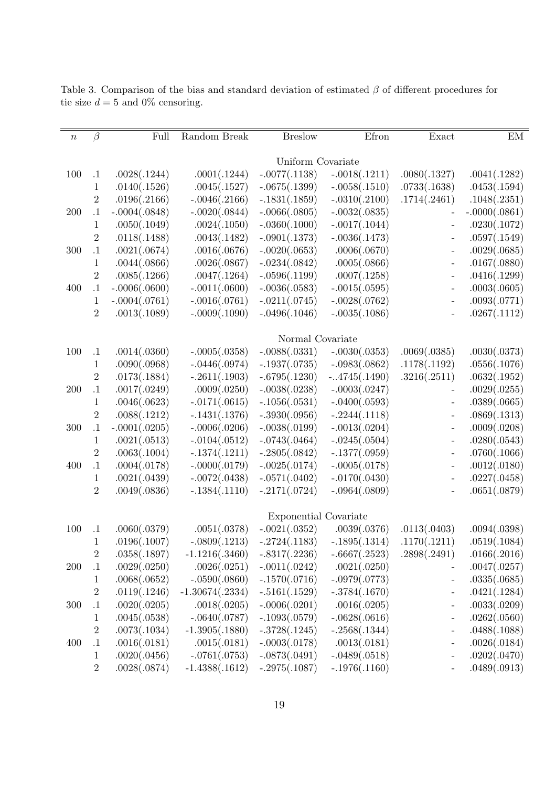| $\, n$ | $\beta$          | Full                         | Random Break      | <b>Breslow</b>    | Efron                          | Exact                    | EM              |  |  |
|--------|------------------|------------------------------|-------------------|-------------------|--------------------------------|--------------------------|-----------------|--|--|
|        |                  |                              |                   |                   |                                |                          |                 |  |  |
|        |                  |                              |                   | Uniform Covariate |                                |                          |                 |  |  |
| 100    | $\cdot$ 1        | .0028(.1244)                 | .0001(.1244)      | $-.0077(.1138)$   | $-.0018(.1211)$                | .0080(.1327)             | .0041(.1282)    |  |  |
|        | $\mathbf 1$      | .0140(.1526)                 | .0045(.1527)      | $-.0675(.1399)$   | $-.0058(.1510)$                | .0733(.1638)             | .0453(.1594)    |  |  |
|        | $\overline{2}$   | .0196(.2166)                 | $-.0046(.2166)$   | $-.1831(.1859)$   | $-.0310(.2100)$                | .1714(.2461)             | .1048(.2351)    |  |  |
| 200    | $\cdot 1$        | $-.0004(.0848)$              | $-.0020(.0844)$   | $-.0066(.0805)$   | $-.0032(.0835)$                |                          | $-.0000(.0861)$ |  |  |
|        | $\mathbf 1$      | .0050(.1049)                 | .0024(.1050)      | $-.0360(.1000)$   | $-.0017(.1044)$                | $\overline{\phantom{m}}$ | .0230(.1072)    |  |  |
|        | $\sqrt{2}$       | .0118(.1488)                 | .0043(.1482)      | $-.0901(.1373)$   | $-.0036(.1473)$                | $\qquad \qquad -$        | .0597(.1549)    |  |  |
| 300    | $\cdot$ 1        | .0021(.0674)                 | .0016(.0676)      | $-.0020(.0653)$   | .0006(.0670)                   | $\overline{\phantom{a}}$ | .0029(.0685)    |  |  |
|        | $\mathbf{1}$     | .0044(.0866)                 | .0026(.0867)      | $-.0234(.0842)$   | .0005(.0866)                   | $\overline{\phantom{a}}$ | .0167(.0880)    |  |  |
|        | $\overline{2}$   | .0085(.1266)                 | .0047(.1264)      | $-.0596(.1199)$   | .0007(.1258)                   | $\overline{\phantom{a}}$ | .0416(.1299)    |  |  |
| 400    | $\cdot$ 1        | $-.0006(.0600)$              | $-.0011(.0600)$   | $-.0036(.0583)$   | $-.0015(.0595)$                | $\overline{\phantom{a}}$ | .0003(.0605)    |  |  |
|        | $\mathbf{1}$     | $-.0004(.0761)$              | $-.0016(.0761)$   | $-.0211(.0745)$   | $-.0028(.0762)$                | $\overline{\phantom{a}}$ | .0093(.0771)    |  |  |
|        | $\overline{2}$   | .0013(.1089)                 | $-.0009(.1090)$   | $-.0496(.1046)$   | $-.0035(.1086)$                | $\qquad \qquad -$        | .0267(.1112)    |  |  |
|        |                  |                              |                   | Normal Covariate  |                                |                          |                 |  |  |
| 100    | $\cdot$ 1        | .0014(.0360)                 | $-.0005(.0358)$   | $-.0088(.0331)$   | $-.0030(.0353)$                | .0069(.0385)             | .0030(.0373)    |  |  |
|        | $\mathbf 1$      | .0090(.0968)                 | $-.0446(.0974)$   | $-.1937(.0735)$   | $-.0983(.0862)$                | .1178(.1192)             | .0556(.1076)    |  |  |
|        | $\overline{2}$   | .0173(.1884)                 | $-.2611(.1903)$   | $-.6795(.1230)$   | $-.4745(.1490)$                | .3216(.2511)             | .0632(.1952)    |  |  |
| 200    | $\cdot$ 1        | .0017(.0249)                 | .0009(.0250)      | $-.0038(.0238)$   | $-.0003(.0247)$                |                          | .0029(.0255)    |  |  |
|        | $\mathbf 1$      | .0046(.0623)                 | $-.0171(.0615)$   | $-.1056(.0531)$   | $-.0400(.0593)$                | $\overline{\phantom{a}}$ | .0389(.0665)    |  |  |
|        | $\overline{2}$   | .0088(.1212)                 | $-.1431(.1376)$   | $-.3930(.0956)$   | $-.2244(.1118)$                | $\qquad \qquad -$        | .0869(.1313)    |  |  |
| 300    | $\cdot$ 1        | $-.0001(.0205)$              | $-.0006(.0206)$   | $-.0038(.0199)$   | $-.0013(.0204)$                | $\qquad \qquad -$        | .0009(.0208)    |  |  |
|        | $\mathbf 1$      | .0021(.0513)                 | $-.0104(.0512)$   | $-.0743(.0464)$   | $-.0245(.0504)$                | $\qquad \qquad -$        | .0280(.0543)    |  |  |
|        | $\overline{2}$   | .0063(.1004)                 | $-.1374(.1211)$   | $-.2805(.0842)$   | $-.1377(.0959)$                | $\overline{\phantom{a}}$ | .0760(.1066)    |  |  |
| 400    | $.1\,$           | .0004(.0178)                 | $-.0000(.0179)$   | $-.0025(.0174)$   | $-.0005(.0178)$                | $\qquad \qquad \Box$     | .0012(.0180)    |  |  |
|        | $\mathbf{1}$     | .0021(.0439)                 | $-.0072(.0438)$   | $-.0571(.0402)$   | $-.0170(.0430)$                | $\qquad \qquad -$        | .0227(.0458)    |  |  |
|        | $\,2$            | .0049(.0836)                 | $-.1384(.1110)$   | $-.2171(.0724)$   | $-.0964(.0809)$                | $\overline{\phantom{0}}$ | .0651(.0879)    |  |  |
|        |                  |                              |                   |                   |                                |                          |                 |  |  |
|        |                  | <b>Exponential Covariate</b> |                   |                   |                                |                          |                 |  |  |
| 100    | $\cdot 1$        | .0060(.0379)                 | .0051(.0378)      | $-.0021(.0352)$   | .0039(.0376)                   | .0113(.0403)             | .0094(.0398)    |  |  |
|        | 1                | .0196(.1007)                 | $-.0809(.1213)$   |                   | $-.2724(.1183) - .1895(.1314)$ | .1170(.1211)             | .0519(.1084)    |  |  |
|        | $\overline{2}$   | .0358(.1897)                 | $-1.1216(.3460)$  | $-.8317(.2236)$   | $-.6667(.2523)$                | .2898(.2491)             | .0166(.2016)    |  |  |
| 200    | $\cdot$ 1        | .0029(.0250)                 | .0026(.0251)      | $-.0011(.0242)$   | .0021(.0250)                   |                          | .0047(.0257)    |  |  |
|        | $\mathbf 1$      | .0068(.0652)                 | $-.0590(.0860)$   | $-.1570(.0716)$   | $-.0979(.0773)$                | $\overline{\phantom{a}}$ | .0335(.0685)    |  |  |
|        | $\sqrt{2}$       | .0119(.1246)                 | $-1.30674(.2334)$ | $-.5161(.1529)$   | $-.3784(.1670)$                | $\qquad \qquad -$        | .0421(.1284)    |  |  |
| 300    | $\cdot 1$        | .0020(.0205)                 | .0018(.0205)      | $-.0006(.0201)$   | .0016(.0205)                   | $\overline{\phantom{a}}$ | .0033(.0209)    |  |  |
|        | $\mathbf 1$      | .0045(.0538)                 | $-.0640(.0787)$   | $-.1093(.0579)$   | $-.0628(.0616)$                | $\qquad \qquad -$        | .0262(.0560)    |  |  |
|        | $\boldsymbol{2}$ | .0073(.1034)                 | $-1.3905(.1880)$  | $-.3728(.1245)$   | $-.2568(.1344)$                | $\qquad \qquad -$        | .0488(.1088)    |  |  |
| 400    | $.1\,$           | .0016(.0181)                 | .0015(.0181)      | $-.0003(.0178)$   | .0013(.0181)                   | $\overline{\phantom{m}}$ | .0026(.0184)    |  |  |
|        | $\mathbf 1$      | .0020(.0456)                 | $-.0761(.0753)$   | $-.0873(.0491)$   | $-.0489(.0518)$                | $\qquad \qquad -$        | .0202(.0470)    |  |  |
|        | $\sqrt{2}$       | .0028(.0874)                 | $-1.4388(.1612)$  | $-.2975(.1087)$   | $-.1976(.1160)$                | $\qquad \qquad -$        | .0489(.0913)    |  |  |

Table 3. Comparison of the bias and standard deviation of estimated  $\beta$  of different procedures for tie size  $d = 5$  and 0% censoring.